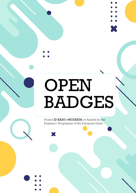# OPEN BADGES

X

Project ID KA201-46C0AE0A co-funded by the Erasmus+ Programme of the European Union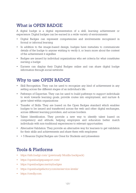### What is OPEN BADGE

A digital badge is a digital representation of a skill, learning achievement or experience. Digital badges can be earned in a wide variety of environments

- Digital Badges can represent competencies and involvements recognized in formal or informal learning
- In addition to the image-based design, badges have metadata to communicate details of the badge to anyone wishing to verify it, or learn more about the context of the achievement it signifies
- Badges are issued by individual organizations who set criteria for what constitutes earning a badge
- Earners can display their Digital Badges online and can share digital badge information through social networks

#### Why to use OPEN BADGE

- Skill Recognition. They can be used to recognize any kind of achievement in any setting across the different stages of an individual's life.
- Pathways of Expertise. They can be used to build pathways to support individuals to work towards learning goals, provide routes into employment, and nurture & grow talent within organizations
- Transfer of Skills. They are based on the Open Badges standard which enables badges to be issued and transferred across the web and other digital exchanges, across different learning providers, and across borders.
- Talent Identification. They provide a new way to identify talent based on competency and attitude, helping employers and educators better match individuals with non-traditional experiences to relevant opportunities.
- Alternative Validation. They provide an alternative way for learners to get validation for their skills and achievements and share them with employers
- + 5 Reasons Digital Badges are Great for Students and jobseekers

#### Tools & Platforms

- https://info.badgr.com/ (previously Mozilla backpack)
- <https://openbadgepassport.com/>
- <https://openbadges.me/mybadges>
- https://openbadgefactory.com/en/service-levels/
- https://credly.com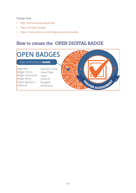#### Design tools

- <http://www.makebadg.es/site>
- <https://badge.design/>
- https://www.adobe.com/fr/express/create/badge

# How to create the OPEN DIGITAL BADGE

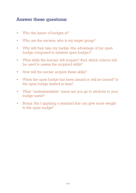# Answer these questions:

- Who the issuer of badges is?
- Who are the earners, who is my target group?
- Why will they take my badge (the advantage of my open badge compared to existent open badge)?
- What skills the learner will acquire? And, which criteria will be used to assess the acquired skills?
- How will the earner acquire these skills?
- When the open badge has been issued or will be issued? Is the open badge limited in time?
- What "understandable" name are you go to attribute to your badge name?
- Bonus: Am I applying a standard that can give more weight to the open badge?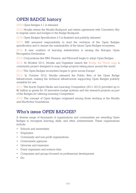# OPEN BADGE history

2020: Open Badges 2.1 is released

2019: Mozilla retires the Mozilla Backpack and enters agreement with Concentric Sky to migrate users and badges to the Badge Backpack.

2018: Open Badges Specification 2.0 is finalized and publicly released

2017: IMS assumed responsibility to lead the evolution of the Open Badges specification and to ensure the sustainability of the future Open Badges ecosystem

2016: A new coalition of learning stakeholders is issuing the Bologna Open Recognition Declaration

2015: Corporations like IBM, Pearson, and Microsoft begin to adopt Open Badges

2014: At Mozfest 2014, Mozilla and Digitalme launch the Badge the World map, a community project designed to map badge projects taking place around the world

2013: The Open Badges ecosystem began to grow across Europe

2012: In October 2012, Mozilla released the Public Beta of the Open Badge Infrastructure, making the technical infrastructure supporting Open Badges publicly available for use.

2011: The fourth Digital Media and Learning Competition (2011-2013) provided up to \$2 million in grants for 30 innovative badge systems and two research projects as part of the Badges for Lifelong Learning Competition

2010: The concept of Open Badges originated among those working at the Mozilla and MacArthur foundations.

# Who's issue OPEN BADGES?

A diverse range of thousands of organizations and communities are awarding Open Badges to recognize learning, skills, and other achievements. These organizations include:

- Schools and universities
- Employers
- Community and non-profit organizations
- Government agencies
- Libraries and museums
- Event organizers and science fairs
- Companies and groups focused on professional development
- Etc.